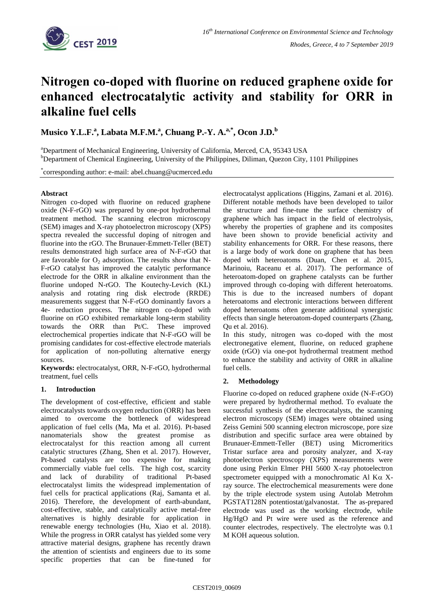

# **Nitrogen co-doped with fluorine on reduced graphene oxide for enhanced electrocatalytic activity and stability for ORR in alkaline fuel cells**

**Musico Y.L.F.<sup>a</sup> , Labata M.F.M.<sup>a</sup> , Chuang P.-Y. A.a,\*, Ocon J.D.<sup>b</sup>**

<sup>a</sup>Department of Mechanical Engineering, University of California, Merced, CA, 95343 USA <sup>b</sup>Department of Chemical Engineering, University of the Philippines, Diliman, Quezon City, 1101 Philippines

\* corresponding author: e-mail: abel.chuang@ucmerced.edu

# **Abstract**

Nitrogen co-doped with fluorine on reduced graphene oxide (N-F-rGO) was prepared by one-pot hydrothermal treatment method. The scanning electron microscopy (SEM) images and X-ray photoelectron microscopy (XPS) spectra revealed the successful doping of nitrogen and fluorine into the rGO. The Brunauer-Emmett-Teller (BET) results demonstrated high surface area of N-F-rGO that are favorable for  $O_2$  adsorption. The results show that N-F-rGO catalyst has improved the catalytic performance electrode for the ORR in alkaline environment than the fluorine undoped N-rGO. The Koutechy-Levich (KL) analysis and rotating ring disk electrode (RRDE) measurements suggest that N-F-rGO dominantly favors a 4e- reduction process. The nitrogen co-doped with fluorine on rGO exhibited remarkable long-term stability towards the ORR than Pt/C. These improved electrochemical properties indicate that N-F-rGO will be promising candidates for cost-effective electrode materials for application of non-polluting alternative energy sources.

**Keywords:** electrocatalyst, ORR, N-F-rGO, hydrothermal treatment, fuel cells

# **1. Introduction**

The development of cost-effective, efficient and stable electrocatalysts towards oxygen reduction (ORR) has been aimed to overcome the bottleneck of widespread application of fuel cells (Ma, Ma et al. 2016). Pt-based nanomaterials show the greatest promise as electrocatalyst for this reaction among all current catalytic structures (Zhang, Shen et al. 2017). However, Pt-based catalysts are too expensive for making commercially viable fuel cells. The high cost, scarcity and lack of durability of traditional Pt-based electrocatalyst limits the widespread implementation of fuel cells for practical applications (Raj, Samanta et al. 2016). Therefore, the development of earth-abundant, cost-effective, stable, and catalytically active metal-free alternatives is highly desirable for application in renewable energy technologies (Hu, Xiao et al. 2018). While the progress in ORR catalyst has yielded some very attractive material designs, graphene has recently drawn the attention of scientists and engineers due to its some specific properties that can be fine-tuned for

electrocatalyst applications (Higgins, Zamani et al. 2016). Different notable methods have been developed to tailor the structure and fine-tune the surface chemistry of graphene which has impact in the field of electrolysis, whereby the properties of graphene and its composites have been shown to provide beneficial activity and stability enhancements for ORR. For these reasons, there is a large body of work done on graphene that has been doped with heteroatoms (Duan, Chen et al. 2015, Marinoiu, Raceanu et al. 2017). The performance of heteroatom-doped on graphene catalysts can be further improved through co-doping with different heteroatoms. This is due to the increased numbers of dopant heteroatoms and electronic interactions between different doped heteroatoms often generate additional synergistic effects than single heteroatom-doped counterparts (Zhang, Qu et al. 2016).

In this study, nitrogen was co-doped with the most electronegative element, fluorine, on reduced graphene oxide (rGO) via one-pot hydrothermal treatment method to enhance the stability and activity of ORR in alkaline fuel cells.

# **2. Methodology**

Fluorine co-doped on reduced graphene oxide (N-F-rGO) were prepared by hydrothermal method. To evaluate the successful synthesis of the electrocatalysts, the scanning electron microscopy (SEM) images were obtained using Zeiss Gemini 500 scanning electron microscope, pore size distribution and specific surface area were obtained by Brunauer-Emmett-Teller (BET) using Micromeritics Tristar surface area and porosity analyzer, and X-ray photoelectron spectroscopy (XPS) measurements were done using Perkin Elmer PHI 5600 X-ray photoelectron spectrometer equipped with a monochromatic Al  $K\alpha$  Xray source. The electrochemical measurements were done by the triple electrode system using Autolab Metrohm PGSTAT128N potentiostat/galvanostat. The as-prepared electrode was used as the working electrode, while Hg/HgO and Pt wire were used as the reference and counter electrodes, respectively. The electrolyte was 0.1 M KOH aqueous solution.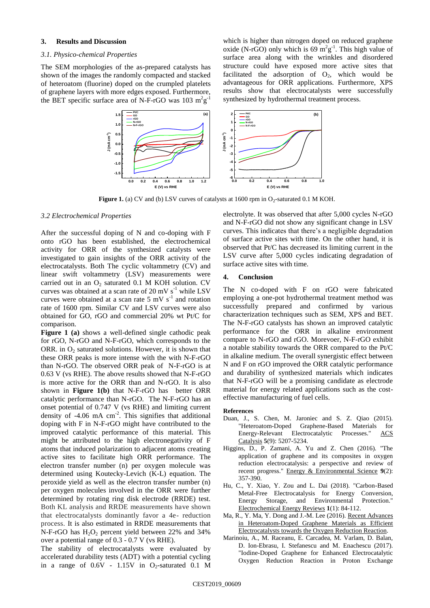### **3. Results and Discussion**

#### *3.1. Physico-chemical Properties*

The SEM morphologies of the as-prepared catalysts has shown of the images the randomly compacted and stacked of heteroatom (fluorine) doped on the crumpled platelets of graphene layers with more edges exposed. Furthermore, the BET specific surface area of N-F-rGO was  $103 \text{ m}^2 \text{g}^{-1}$ 

which is higher than nitrogen doped on reduced graphene oxide (N-rGO) only which is  $69 \text{ m}^2 \text{g}^{-1}$ . This high value of surface area along with the wrinkles and disordered structure could have exposed more active sites that facilitated the adsorption of  $O_2$ , which would be advantageous for ORR applications. Furthermore, XPS results show that electrocatalysts were successfully synthesized by hydrothermal treatment process.



**Figure 1.** (a) CV and (b) LSV curves of catalysts at  $1600$  rpm in  $O_2$ -saturated 0.1 M KOH.

#### <span id="page-1-0"></span>*3.2 Electrochemical Properties*

After the successful doping of N and co-doping with F onto rGO has been established, the electrochemical activity for ORR of the synthesized catalysts were investigated to gain insights of the ORR activity of the electrocatalysts. Both The cyclic voltammetry (CV) and linear swift voltammetry (LSV) measurements were carried out in an  $O_2$  saturated 0.1 M KOH solution. CV curves was obtained at a scan rate of 20 mV  $s^{-1}$  while LSV curves were obtained at a scan rate  $5 \text{ mV s}^{-1}$  and rotation rate of 1600 rpm. Similar CV and LSV curves were also obtained for GO, rGO and commercial 20% wt Pt/C for comparison.

**[Figure 1](#page-1-0) (a)** shows a well-defined single cathodic peak for rGO, N-rGO and N-F-rGO, which corresponds to the ORR. in  $O_2$  saturated solutions. However, it is shown that these ORR peaks is more intense with the with N-F-rGO than N-rGO. The observed ORR peak of N-F-rGO is at 0.63 V (vs RHE). The above results showed that N-F-rGO is more active for the ORR than and N-rGO. It is also shown in **[Figure 1\(](#page-1-0)b)** that N-F-rGO has better ORR catalytic performance than N-rGO. The N-F-rGO has an onset potential of 0.747 V (vs RHE) and limiting current density of  $-4.06$  mA  $cm^{-2}$ . This signifies that additional doping with F in N-F-rGO might have contributed to the improved catalytic performance of this material. This might be attributed to the high electronegativity of F atoms that induced polarization to adjacent atoms creating active sites to facilitate high ORR performance. The electron transfer number (n) per oxygen molecule was determined using Koutecky-Levich (K-L) equation. The peroxide yield as well as the electron transfer number (n) per oxygen molecules involved in the ORR were further determined by rotating ring disk electrode (RRDE) test. Both KL analysis and RRDE measurements have shown that electrocatalysts dominantly favor a 4e- reduction process. It is also estimated in RRDE measurements that N-F-rGO has  $H_2O_2$  percent yield between 22% and 34% over a potential range of 0.3 - 0.7 V (vs RHE).

The stability of electrocatalysts were evaluated by accelerated durability tests (ADT) with a potential cycling in a range of  $0.6V - 1.15V$  in O<sub>2</sub>-saturated 0.1 M electrolyte. It was observed that after 5,000 cycles N-rGO and N-F-rGO did not show any significant change in LSV curves. This indicates that there's a negligible degradation of surface active sites with time. On the other hand, it is observed that Pt/C has decreased its limiting current in the LSV curve after 5,000 cycles indicating degradation of surface active sites with time.

#### **4. Conclusion**

The N co-doped with F on rGO were fabricated employing a one-pot hydrothermal treatment method was successfully prepared and confirmed by various characterization techniques such as SEM, XPS and BET. The N-F-rGO catalysts has shown an improved catalytic performance for the ORR in alkaline environment compare to N-rGO and rGO. Morevoer, N-F-rGO exhibit a notable stability towards the ORR compared to the Pt/C in alkaline medium. The overall synergistic effect between N and F on rGO improved the ORR catalytic performance and durability of synthesized materials which indicates that N-F-rGO will be a promising candidate as electrode material for energy related applications such as the costeffective manufacturing of fuel cells.

#### **References**

- Duan, J., S. Chen, M. Jaroniec and S. Z. Qiao (2015). "Heteroatom-Doped Graphene-Based Materials for Energy-Relevant Electrocatalytic Processes." ACS Catalysis **5**(9): 5207-5234.
- Higgins, D., P. Zamani, A. Yu and Z. Chen (2016). "The application of graphene and its composites in oxygen reduction electrocatalysis: a perspective and review of recent progress." Energy & Environmental Science **9**(2): 357-390.
- Hu, C., Y. Xiao, Y. Zou and L. Dai (2018). "Carbon-Based Metal-Free Electrocatalysis for Energy Conversion, Energy Storage, and Environmental Protection." Electrochemical Energy Reviews **1**(1): 84-112.
- Ma, R., Y. Ma, Y. Dong and J.-M. Lee (2016). Recent Advances in Heteroatom-Doped Graphene Materials as Efficient Electrocatalysts towards the Oxygen Reduction Reaction.
- Marinoiu, A., M. Raceanu, E. Carcadea, M. Varlam, D. Balan, D. Ion-Ebrasu, I. Stefanescu and M. Enachescu (2017). "Iodine-Doped Graphene for Enhanced Electrocatalytic Oxygen Reduction Reaction in Proton Exchange